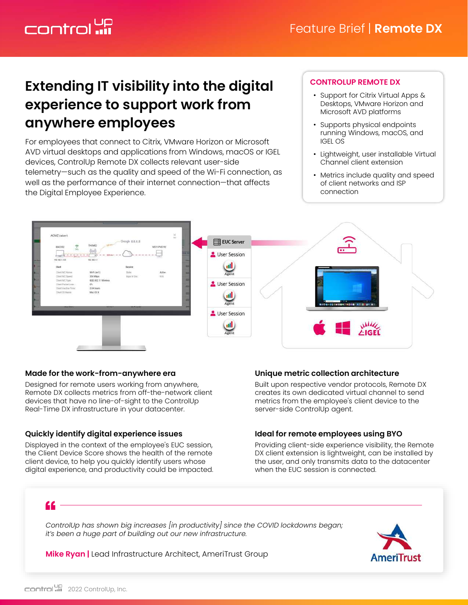# Control **up**

# **Extending IT visibility into the digital experience to support work from anywhere employees**

For employees that connect to Citrix, VMware Horizon or Microsoft AVD virtual desktops and applications from Windows, macOS or IGEL devices, ControlUp Remote DX collects relevant user-side telemetry—such as the quality and speed of the Wi-Fi connection, as well as the performance of their internet connection—that affects the Digital Employee Experience.

#### **CONTROLUP REMOTE DX**

- Support for Citrix Virtual Apps & Desktops, VMware Horizon and Microsoft AVD platforms
- Supports physical endpoints running Windows, macOS, and IGEL OS
- Lightweight, user installable Virtual Channel client extension
- Metrics include quality and speed of client networks and ISP connection



#### **Made for the work-from-anywhere era**

Designed for remote users working from anywhere, Remote DX collects metrics from off-the-network client devices that have no line-of-sight to the ControlUp Real-Time DX infrastructure in your datacenter.

#### **Quickly identify digital experience issues**

Displayed in the context of the employee's EUC session, the Client Device Score shows the health of the remote client device, to help you quickly identify users whose digital experience, and productivity could be impacted.

#### **Unique metric collection architecture**

Built upon respective vendor protocols, Remote DX creates its own dedicated virtual channel to send metrics from the employee's client device to the server-side ControlUp agent.

#### **Ideal for remote employees using BYO**

Providing client-side experience visibility, the Remote DX client extension is lightweight, can be installed by the user, and only transmits data to the datacenter when the EUC session is connected.

## "

*ControlUp has shown big increases [in productivity] since the COVID lockdowns began; it's been a huge part of building out our new infrastructure.*

**Mike Ryan |** Lead Infrastructure Architect, AmeriTrust Group